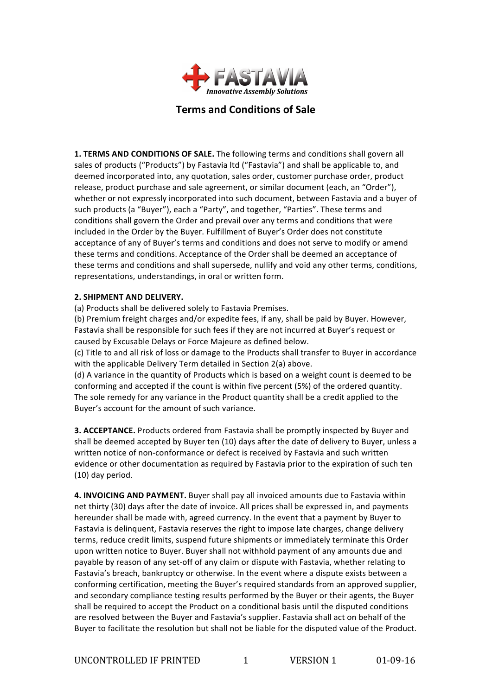

# **Terms and Conditions of Sale**

1. TERMS AND CONDITIONS OF SALE. The following terms and conditions shall govern all sales of products ("Products") by Fastavia ltd ("Fastavia") and shall be applicable to, and deemed incorporated into, any quotation, sales order, customer purchase order, product release, product purchase and sale agreement, or similar document (each, an "Order"), whether or not expressly incorporated into such document, between Fastavia and a buyer of such products (a "Buyer"), each a "Party", and together, "Parties". These terms and conditions shall govern the Order and prevail over any terms and conditions that were included in the Order by the Buyer. Fulfillment of Buyer's Order does not constitute acceptance of any of Buyer's terms and conditions and does not serve to modify or amend these terms and conditions. Acceptance of the Order shall be deemed an acceptance of these terms and conditions and shall supersede, nullify and void any other terms, conditions, representations, understandings, in oral or written form.

### **2. SHIPMENT AND DELIVERY.**

(a) Products shall be delivered solely to Fastavia Premises.

(b) Premium freight charges and/or expedite fees, if any, shall be paid by Buyer. However, Fastavia shall be responsible for such fees if they are not incurred at Buyer's request or caused by Excusable Delays or Force Majeure as defined below.

(c) Title to and all risk of loss or damage to the Products shall transfer to Buyer in accordance with the applicable Delivery Term detailed in Section 2(a) above.

(d) A variance in the quantity of Products which is based on a weight count is deemed to be conforming and accepted if the count is within five percent (5%) of the ordered quantity. The sole remedy for any variance in the Product quantity shall be a credit applied to the Buyer's account for the amount of such variance.

**3. ACCEPTANCE.** Products ordered from Fastavia shall be promptly inspected by Buyer and shall be deemed accepted by Buyer ten (10) days after the date of delivery to Buyer, unless a written notice of non-conformance or defect is received by Fastavia and such written evidence or other documentation as required by Fastavia prior to the expiration of such ten (10) day period.

4. INVOICING AND PAYMENT. Buyer shall pay all invoiced amounts due to Fastavia within net thirty (30) days after the date of invoice. All prices shall be expressed in, and payments hereunder shall be made with, agreed currency. In the event that a payment by Buyer to Fastavia is delinquent, Fastavia reserves the right to impose late charges, change delivery terms, reduce credit limits, suspend future shipments or immediately terminate this Order upon written notice to Buyer. Buyer shall not withhold payment of any amounts due and payable by reason of any set-off of any claim or dispute with Fastavia, whether relating to Fastavia's breach, bankruptcy or otherwise. In the event where a dispute exists between a conforming certification, meeting the Buyer's required standards from an approved supplier, and secondary compliance testing results performed by the Buyer or their agents, the Buyer shall be required to accept the Product on a conditional basis until the disputed conditions are resolved between the Buyer and Fastavia's supplier. Fastavia shall act on behalf of the Buyer to facilitate the resolution but shall not be liable for the disputed value of the Product.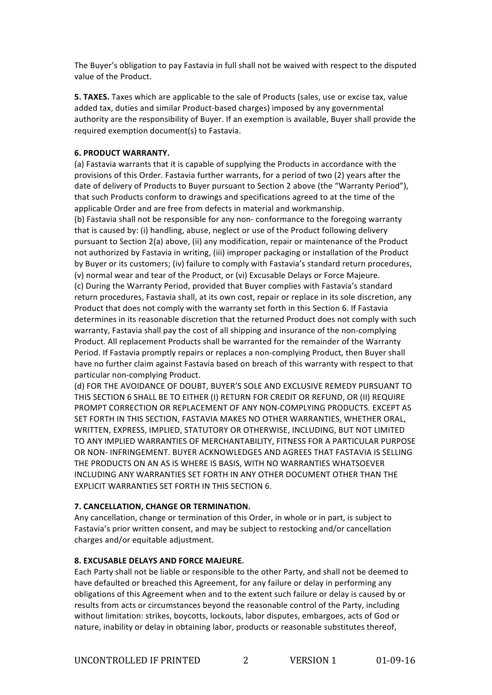The Buyer's obligation to pay Fastavia in full shall not be waived with respect to the disputed value of the Product.

**5. TAXES.** Taxes which are applicable to the sale of Products (sales, use or excise tax, value added tax, duties and similar Product-based charges) imposed by any governmental authority are the responsibility of Buyer. If an exemption is available, Buyer shall provide the required exemption document(s) to Fastavia.

## **6. PRODUCT WARRANTY.**

(a) Fastavia warrants that it is capable of supplying the Products in accordance with the provisions of this Order. Fastavia further warrants, for a period of two (2) years after the date of delivery of Products to Buyer pursuant to Section 2 above (the "Warranty Period"), that such Products conform to drawings and specifications agreed to at the time of the applicable Order and are free from defects in material and workmanship.

(b) Fastavia shall not be responsible for any non- conformance to the foregoing warranty that is caused by: (i) handling, abuse, neglect or use of the Product following delivery pursuant to Section 2(a) above, (ii) any modification, repair or maintenance of the Product not authorized by Fastavia in writing, (iii) improper packaging or installation of the Product by Buyer or its customers; (iv) failure to comply with Fastavia's standard return procedures, (v) normal wear and tear of the Product, or (vi) Excusable Delays or Force Majeure. (c) During the Warranty Period, provided that Buyer complies with Fastavia's standard return procedures, Fastavia shall, at its own cost, repair or replace in its sole discretion, any Product that does not comply with the warranty set forth in this Section 6. If Fastavia determines in its reasonable discretion that the returned Product does not comply with such warranty, Fastavia shall pay the cost of all shipping and insurance of the non-complying Product. All replacement Products shall be warranted for the remainder of the Warranty Period. If Fastavia promptly repairs or replaces a non-complying Product, then Buyer shall have no further claim against Fastavia based on breach of this warranty with respect to that particular non-complying Product.

(d) FOR THE AVOIDANCE OF DOUBT, BUYER'S SOLE AND EXCLUSIVE REMEDY PURSUANT TO THIS SECTION 6 SHALL BE TO EITHER (I) RETURN FOR CREDIT OR REFUND, OR (II) REQUIRE PROMPT CORRECTION OR REPLACEMENT OF ANY NON-COMPLYING PRODUCTS. EXCEPT AS SET FORTH IN THIS SECTION, FASTAVIA MAKES NO OTHER WARRANTIES, WHETHER ORAL, WRITTEN, EXPRESS, IMPLIED, STATUTORY OR OTHERWISE, INCLUDING, BUT NOT LIMITED TO ANY IMPLIED WARRANTIES OF MERCHANTABILITY, FITNESS FOR A PARTICULAR PURPOSE OR NON- INFRINGEMENT. BUYER ACKNOWLEDGES AND AGREES THAT FASTAVIA IS SELLING THE PRODUCTS ON AN AS IS WHERE IS BASIS, WITH NO WARRANTIES WHATSOEVER INCLUDING ANY WARRANTIES SET FORTH IN ANY OTHER DOCUMENT OTHER THAN THE EXPLICIT WARRANTIES SET FORTH IN THIS SECTION 6.

### **7. CANCELLATION, CHANGE OR TERMINATION.**

Any cancellation, change or termination of this Order, in whole or in part, is subject to Fastavia's prior written consent, and may be subject to restocking and/or cancellation charges and/or equitable adjustment.

### **8. EXCUSABLE DELAYS AND FORCE MAJEURE.**

Each Party shall not be liable or responsible to the other Party, and shall not be deemed to have defaulted or breached this Agreement, for any failure or delay in performing any obligations of this Agreement when and to the extent such failure or delay is caused by or results from acts or circumstances beyond the reasonable control of the Party, including without limitation: strikes, boycotts, lockouts, labor disputes, embargoes, acts of God or nature, inability or delay in obtaining labor, products or reasonable substitutes thereof,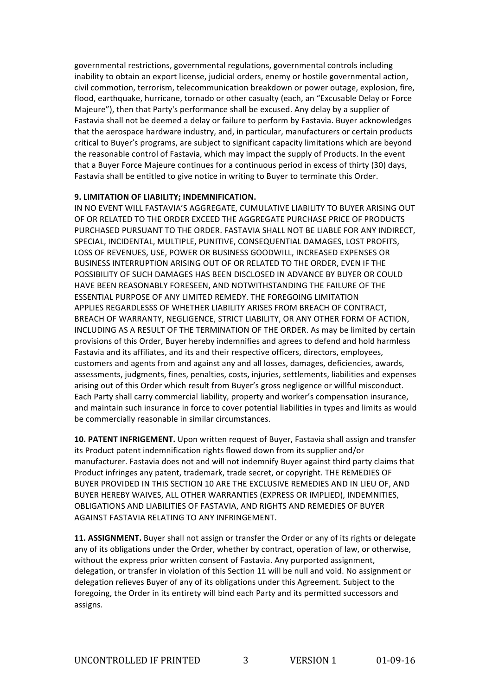governmental restrictions, governmental regulations, governmental controls including inability to obtain an export license, judicial orders, enemy or hostile governmental action, civil commotion, terrorism, telecommunication breakdown or power outage, explosion, fire, flood, earthquake, hurricane, tornado or other casualty (each, an "Excusable Delay or Force Majeure"), then that Party's performance shall be excused. Any delay by a supplier of Fastavia shall not be deemed a delay or failure to perform by Fastavia. Buyer acknowledges that the aerospace hardware industry, and, in particular, manufacturers or certain products critical to Buyer's programs, are subject to significant capacity limitations which are beyond the reasonable control of Fastavia, which may impact the supply of Products. In the event that a Buyer Force Majeure continues for a continuous period in excess of thirty (30) days, Fastavia shall be entitled to give notice in writing to Buyer to terminate this Order.

#### **9. LIMITATION OF LIABILITY; INDEMNIFICATION.**

IN NO EVENT WILL FASTAVIA'S AGGREGATE, CUMULATIVE LIABILITY TO BUYER ARISING OUT OF OR RELATED TO THE ORDER EXCEED THE AGGREGATE PURCHASE PRICE OF PRODUCTS PURCHASED PURSUANT TO THE ORDER. FASTAVIA SHALL NOT BE LIABLE FOR ANY INDIRECT, SPECIAL, INCIDENTAL, MULTIPLE, PUNITIVE, CONSEQUENTIAL DAMAGES, LOST PROFITS, LOSS OF REVENUES, USE, POWER OR BUSINESS GOODWILL, INCREASED EXPENSES OR BUSINESS INTERRUPTION ARISING OUT OF OR RELATED TO THE ORDER, EVEN IF THE POSSIBILITY OF SUCH DAMAGES HAS BEEN DISCLOSED IN ADVANCE BY BUYER OR COULD HAVE BEEN REASONABLY FORESEEN, AND NOTWITHSTANDING THE FAILURE OF THE ESSENTIAL PURPOSE OF ANY LIMITED REMEDY. THE FOREGOING LIMITATION APPLIES REGARDLESSS OF WHETHER LIABILITY ARISES FROM BREACH OF CONTRACT, BREACH OF WARRANTY, NEGLIGENCE, STRICT LIABILITY, OR ANY OTHER FORM OF ACTION, INCLUDING AS A RESULT OF THE TERMINATION OF THE ORDER. As may be limited by certain provisions of this Order, Buyer hereby indemnifies and agrees to defend and hold harmless Fastavia and its affiliates, and its and their respective officers, directors, employees, customers and agents from and against any and all losses, damages, deficiencies, awards, assessments, judgments, fines, penalties, costs, injuries, settlements, liabilities and expenses arising out of this Order which result from Buyer's gross negligence or willful misconduct. Each Party shall carry commercial liability, property and worker's compensation insurance, and maintain such insurance in force to cover potential liabilities in types and limits as would be commercially reasonable in similar circumstances.

**10. PATENT INFRIGEMENT.** Upon written request of Buyer, Fastavia shall assign and transfer its Product patent indemnification rights flowed down from its supplier and/or manufacturer. Fastavia does not and will not indemnify Buyer against third party claims that Product infringes any patent, trademark, trade secret, or copyright. THE REMEDIES OF BUYER PROVIDED IN THIS SECTION 10 ARE THE EXCLUSIVE REMEDIES AND IN LIEU OF, AND BUYER HEREBY WAIVES, ALL OTHER WARRANTIES (EXPRESS OR IMPLIED), INDEMNITIES, OBLIGATIONS AND LIABILITIES OF FASTAVIA, AND RIGHTS AND REMEDIES OF BUYER AGAINST FASTAVIA RELATING TO ANY INFRINGEMENT.

**11. ASSIGNMENT.** Buyer shall not assign or transfer the Order or any of its rights or delegate any of its obligations under the Order, whether by contract, operation of law, or otherwise, without the express prior written consent of Fastavia. Any purported assignment, delegation, or transfer in violation of this Section 11 will be null and void. No assignment or delegation relieves Buyer of any of its obligations under this Agreement. Subject to the foregoing, the Order in its entirety will bind each Party and its permitted successors and assigns.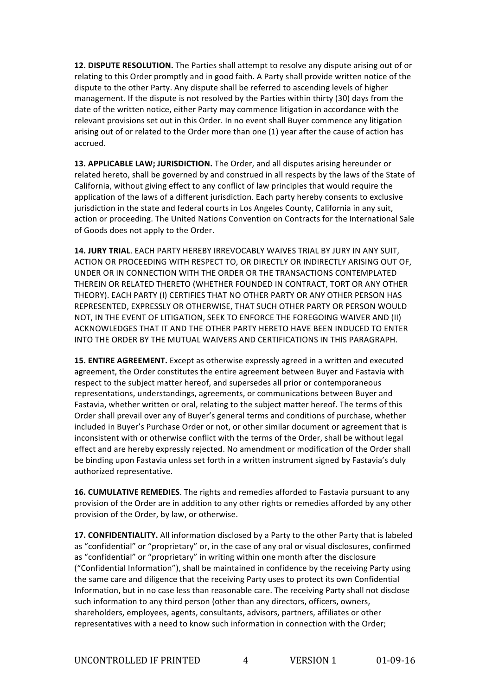**12. DISPUTE RESOLUTION.** The Parties shall attempt to resolve any dispute arising out of or relating to this Order promptly and in good faith. A Party shall provide written notice of the dispute to the other Party. Any dispute shall be referred to ascending levels of higher management. If the dispute is not resolved by the Parties within thirty (30) days from the date of the written notice, either Party may commence litigation in accordance with the relevant provisions set out in this Order. In no event shall Buyer commence any litigation arising out of or related to the Order more than one (1) year after the cause of action has accrued. 

**13. APPLICABLE LAW; JURISDICTION.** The Order, and all disputes arising hereunder or related hereto, shall be governed by and construed in all respects by the laws of the State of California, without giving effect to any conflict of law principles that would require the application of the laws of a different jurisdiction. Each party hereby consents to exclusive jurisdiction in the state and federal courts in Los Angeles County, California in any suit, action or proceeding. The United Nations Convention on Contracts for the International Sale of Goods does not apply to the Order.

**14. JURY TRIAL**. EACH PARTY HEREBY IRREVOCABLY WAIVES TRIAL BY JURY IN ANY SUIT, ACTION OR PROCEEDING WITH RESPECT TO, OR DIRECTLY OR INDIRECTLY ARISING OUT OF, UNDER OR IN CONNECTION WITH THE ORDER OR THE TRANSACTIONS CONTEMPLATED THEREIN OR RELATED THERETO (WHETHER FOUNDED IN CONTRACT, TORT OR ANY OTHER THEORY). EACH PARTY (I) CERTIFIES THAT NO OTHER PARTY OR ANY OTHER PERSON HAS REPRESENTED, EXPRESSLY OR OTHERWISE, THAT SUCH OTHER PARTY OR PERSON WOULD NOT, IN THE EVENT OF LITIGATION, SEEK TO ENFORCE THE FOREGOING WAIVER AND (II) ACKNOWLEDGES THAT IT AND THE OTHER PARTY HERETO HAVE BEEN INDUCED TO ENTER INTO THE ORDER BY THE MUTUAL WAIVERS AND CERTIFICATIONS IN THIS PARAGRAPH.

**15. ENTIRE AGREEMENT.** Except as otherwise expressly agreed in a written and executed agreement, the Order constitutes the entire agreement between Buyer and Fastavia with respect to the subject matter hereof, and supersedes all prior or contemporaneous representations, understandings, agreements, or communications between Buyer and Fastavia, whether written or oral, relating to the subject matter hereof. The terms of this Order shall prevail over any of Buyer's general terms and conditions of purchase, whether included in Buyer's Purchase Order or not, or other similar document or agreement that is inconsistent with or otherwise conflict with the terms of the Order, shall be without legal effect and are hereby expressly rejected. No amendment or modification of the Order shall be binding upon Fastavia unless set forth in a written instrument signed by Fastavia's duly authorized representative.

**16. CUMULATIVE REMEDIES**. The rights and remedies afforded to Fastavia pursuant to any provision of the Order are in addition to any other rights or remedies afforded by any other provision of the Order, by law, or otherwise.

**17. CONFIDENTIALITY.** All information disclosed by a Party to the other Party that is labeled as "confidential" or "proprietary" or, in the case of any oral or visual disclosures, confirmed as "confidential" or "proprietary" in writing within one month after the disclosure ("Confidential Information"), shall be maintained in confidence by the receiving Party using the same care and diligence that the receiving Party uses to protect its own Confidential Information, but in no case less than reasonable care. The receiving Party shall not disclose such information to any third person (other than any directors, officers, owners, shareholders, employees, agents, consultants, advisors, partners, affiliates or other representatives with a need to know such information in connection with the Order;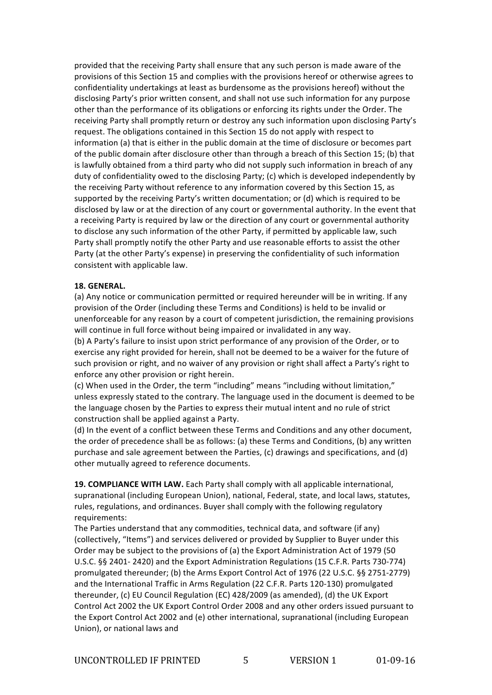provided that the receiving Party shall ensure that any such person is made aware of the provisions of this Section 15 and complies with the provisions hereof or otherwise agrees to confidentiality undertakings at least as burdensome as the provisions hereof) without the disclosing Party's prior written consent, and shall not use such information for any purpose other than the performance of its obligations or enforcing its rights under the Order. The receiving Party shall promptly return or destroy any such information upon disclosing Party's request. The obligations contained in this Section 15 do not apply with respect to information (a) that is either in the public domain at the time of disclosure or becomes part of the public domain after disclosure other than through a breach of this Section 15; (b) that is lawfully obtained from a third party who did not supply such information in breach of any duty of confidentiality owed to the disclosing Party; (c) which is developed independently by the receiving Party without reference to any information covered by this Section 15, as supported by the receiving Party's written documentation; or (d) which is required to be disclosed by law or at the direction of any court or governmental authority. In the event that a receiving Party is required by law or the direction of any court or governmental authority to disclose any such information of the other Party, if permitted by applicable law, such Party shall promptly notify the other Party and use reasonable efforts to assist the other Party (at the other Party's expense) in preserving the confidentiality of such information consistent with applicable law.

#### **18. GENERAL.**

(a) Any notice or communication permitted or required hereunder will be in writing. If any provision of the Order (including these Terms and Conditions) is held to be invalid or unenforceable for any reason by a court of competent jurisdiction, the remaining provisions will continue in full force without being impaired or invalidated in any way.

(b) A Party's failure to insist upon strict performance of any provision of the Order, or to exercise any right provided for herein, shall not be deemed to be a waiver for the future of such provision or right, and no waiver of any provision or right shall affect a Party's right to enforce any other provision or right herein.

(c) When used in the Order, the term "including" means "including without limitation," unless expressly stated to the contrary. The language used in the document is deemed to be the language chosen by the Parties to express their mutual intent and no rule of strict construction shall be applied against a Party.

(d) In the event of a conflict between these Terms and Conditions and any other document, the order of precedence shall be as follows: (a) these Terms and Conditions, (b) any written purchase and sale agreement between the Parties, (c) drawings and specifications, and (d) other mutually agreed to reference documents.

**19. COMPLIANCE WITH LAW.** Each Party shall comply with all applicable international, supranational (including European Union), national, Federal, state, and local laws, statutes, rules, regulations, and ordinances. Buyer shall comply with the following regulatory requirements: 

The Parties understand that any commodities, technical data, and software (if any) (collectively, "Items") and services delivered or provided by Supplier to Buyer under this Order may be subject to the provisions of (a) the Export Administration Act of 1979 (50 U.S.C. §§ 2401- 2420) and the Export Administration Regulations (15 C.F.R. Parts 730-774) promulgated thereunder; (b) the Arms Export Control Act of 1976 (22 U.S.C. §§ 2751-2779) and the International Traffic in Arms Regulation (22 C.F.R. Parts 120-130) promulgated thereunder, (c) EU Council Regulation (EC) 428/2009 (as amended), (d) the UK Export Control Act 2002 the UK Export Control Order 2008 and any other orders issued pursuant to the Export Control Act 2002 and (e) other international, supranational (including European Union), or national laws and